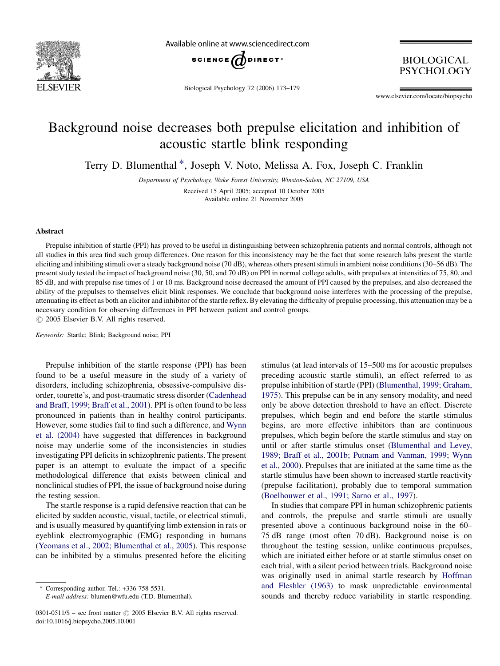

Available online at www.sciencedirect.com



Biological Psychology 72 (2006) 173–179

**BIOLOGICAL** PSYCHOLOGY

www.elsevier.com/locate/biopsycho

## Background noise decreases both prepulse elicitation and inhibition of acoustic startle blink responding

Terry D. Blumenthal \*, Joseph V. Noto, Melissa A. Fox, Joseph C. Franklin

Department of Psychology, Wake Forest University, Winston-Salem, NC 27109, USA Received 15 April 2005; accepted 10 October 2005 Available online 21 November 2005

### Abstract

Prepulse inhibition of startle (PPI) has proved to be useful in distinguishing between schizophrenia patients and normal controls, although not all studies in this area find such group differences. One reason for this inconsistency may be the fact that some research labs present the startle eliciting and inhibiting stimuli over a steady background noise (70 dB), whereas others present stimuli in ambient noise conditions (30–56 dB). The present study tested the impact of background noise (30, 50, and 70 dB) on PPI in normal college adults, with prepulses at intensities of 75, 80, and 85 dB, and with prepulse rise times of 1 or 10 ms. Background noise decreased the amount of PPI caused by the prepulses, and also decreased the ability of the prepulses to themselves elicit blink responses. We conclude that background noise interferes with the processing of the prepulse, attenuating its effect as both an elicitor and inhibitor of the startle reflex. By elevating the difficulty of prepulse processing, this attenuation may be a necessary condition for observing differences in PPI between patient and control groups.  $\odot$  2005 Elsevier B.V. All rights reserved.

Keywords: Startle; Blink; Background noise; PPI

Prepulse inhibition of the startle response (PPI) has been found to be a useful measure in the study of a variety of disorders, including schizophrenia, obsessive-compulsive disorder, tourette's, and post-traumatic stress disorder [\(Cadenhead](#page--1-0) [and Braff, 1999; Braff et al., 2001](#page--1-0)). PPI is often found to be less pronounced in patients than in healthy control participants. However, some studies fail to find such a difference, and [Wynn](#page--1-0) [et al. \(2004\)](#page--1-0) have suggested that differences in background noise may underlie some of the inconsistencies in studies investigating PPI deficits in schizophrenic patients. The present paper is an attempt to evaluate the impact of a specific methodological difference that exists between clinical and nonclinical studies of PPI, the issue of background noise during the testing session.

The startle response is a rapid defensive reaction that can be elicited by sudden acoustic, visual, tactile, or electrical stimuli, and is usually measured by quantifying limb extension in rats or eyeblink electromyographic (EMG) responding in humans ([Yeomans et al., 2002; Blumenthal et al., 2005\)](#page--1-0). This response can be inhibited by a stimulus presented before the eliciting

E-mail address: blumen@wfu.edu (T.D. Blumenthal).

stimulus (at lead intervals of 15–500 ms for acoustic prepulses preceding acoustic startle stimuli), an effect referred to as prepulse inhibition of startle (PPI) ([Blumenthal, 1999; Graham,](#page--1-0) [1975](#page--1-0)). This prepulse can be in any sensory modality, and need only be above detection threshold to have an effect. Discrete prepulses, which begin and end before the startle stimulus begins, are more effective inhibitors than are continuous prepulses, which begin before the startle stimulus and stay on until or after startle stimulus onset ([Blumenthal and Levey,](#page--1-0) [1989; Braff et al., 2001b; Putnam and Vanman, 1999; Wynn](#page--1-0) [et al., 2000\)](#page--1-0). Prepulses that are initiated at the same time as the startle stimulus have been shown to increased startle reactivity (prepulse facilitation), probably due to temporal summation ([Boelhouwer et al., 1991; Sarno et al., 1997](#page--1-0)).

In studies that compare PPI in human schizophrenic patients and controls, the prepulse and startle stimuli are usually presented above a continuous background noise in the 60– 75 dB range (most often 70 dB). Background noise is on throughout the testing session, unlike continuous prepulses, which are initiated either before or at startle stimulus onset on each trial, with a silent period between trials. Background noise was originally used in animal startle research by [Hoffman](#page--1-0) [and Fleshler \(1963\)](#page--1-0) to mask unpredictable environmental sounds and thereby reduce variability in startle responding.

Corresponding author. Tel.: +336 758 5531.

<sup>0301-0511/\$ –</sup> see front matter  $\odot$  2005 Elsevier B.V. All rights reserved. doi:10.1016/j.biopsycho.2005.10.001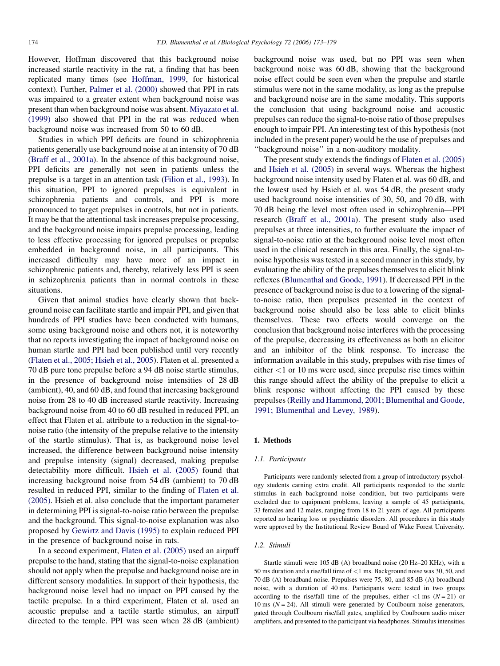However, Hoffman discovered that this background noise increased startle reactivity in the rat, a finding that has been replicated many times (see [Hoffman, 1999](#page--1-0), for historical context). Further, [Palmer et al. \(2000\)](#page--1-0) showed that PPI in rats was impaired to a greater extent when background noise was present than when background noise was absent. [Miyazato et al.](#page--1-0) [\(1999\)](#page--1-0) also showed that PPI in the rat was reduced when background noise was increased from 50 to 60 dB.

Studies in which PPI deficits are found in schizophrenia patients generally use background noise at an intensity of 70 dB ([Braff et al., 2001a](#page--1-0)). In the absence of this background noise, PPI deficits are generally not seen in patients unless the prepulse is a target in an attention task ([Filion et al., 1993\)](#page--1-0). In this situation, PPI to ignored prepulses is equivalent in schizophrenia patients and controls, and PPI is more pronounced to target prepulses in controls, but not in patients. It may be that the attentional task increases prepulse processing, and the background noise impairs prepulse processing, leading to less effective processing for ignored prepulses or prepulse embedded in background noise, in all participants. This increased difficulty may have more of an impact in schizophrenic patients and, thereby, relatively less PPI is seen in schizophrenia patients than in normal controls in these situations.

Given that animal studies have clearly shown that background noise can facilitate startle and impair PPI, and given that hundreds of PPI studies have been conducted with humans, some using background noise and others not, it is noteworthy that no reports investigating the impact of background noise on human startle and PPI had been published until very recently ([Flaten et al., 2005; Hsieh et al., 2005\)](#page--1-0). Flaten et al. presented a 70 dB pure tone prepulse before a 94 dB noise startle stimulus, in the presence of background noise intensities of 28 dB (ambient), 40, and 60 dB, and found that increasing background noise from 28 to 40 dB increased startle reactivity. Increasing background noise from 40 to 60 dB resulted in reduced PPI, an effect that Flaten et al. attribute to a reduction in the signal-tonoise ratio (the intensity of the prepulse relative to the intensity of the startle stimulus). That is, as background noise level increased, the difference between background noise intensity and prepulse intensity (signal) decreased, making prepulse detectability more difficult. [Hsieh et al. \(2005\)](#page--1-0) found that increasing background noise from 54 dB (ambient) to 70 dB resulted in reduced PPI, similar to the finding of [Flaten et al.](#page--1-0) [\(2005\)](#page--1-0). Hsieh et al. also conclude that the important parameter in determining PPI is signal-to-noise ratio between the prepulse and the background. This signal-to-noise explanation was also proposed by [Gewirtz and Davis \(1995\)](#page--1-0) to explain reduced PPI in the presence of background noise in rats.

In a second experiment, [Flaten et al. \(2005\)](#page--1-0) used an airpuff prepulse to the hand, stating that the signal-to-noise explanation should not apply when the prepulse and background noise are in different sensory modalities. In support of their hypothesis, the background noise level had no impact on PPI caused by the tactile prepulse. In a third experiment, Flaten et al. used an acoustic prepulse and a tactile startle stimulus, an airpuff directed to the temple. PPI was seen when 28 dB (ambient)

background noise was used, but no PPI was seen when background noise was 60 dB, showing that the background noise effect could be seen even when the prepulse and startle stimulus were not in the same modality, as long as the prepulse and background noise are in the same modality. This supports the conclusion that using background noise and acoustic prepulses can reduce the signal-to-noise ratio of those prepulses enough to impair PPI. An interesting test of this hypothesis (not included in the present paper) would be the use of prepulses and ''background noise'' in a non-auditory modality.

The present study extends the findings of [Flaten et al. \(2005\)](#page--1-0) and [Hsieh et al. \(2005\)](#page--1-0) in several ways. Whereas the highest background noise intensity used by Flaten et al. was 60 dB, and the lowest used by Hsieh et al. was 54 dB, the present study used background noise intensities of 30, 50, and 70 dB, with 70 dB being the level most often used in schizophrenia—PPI research [\(Braff et al., 2001a](#page--1-0)). The present study also used prepulses at three intensities, to further evaluate the impact of signal-to-noise ratio at the background noise level most often used in the clinical research in this area. Finally, the signal-tonoise hypothesis was tested in a second manner in this study, by evaluating the ability of the prepulses themselves to elicit blink reflexes [\(Blumenthal and Goode, 1991](#page--1-0)). If decreased PPI in the presence of background noise is due to a lowering of the signalto-noise ratio, then prepulses presented in the context of background noise should also be less able to elicit blinks themselves. These two effects would converge on the conclusion that background noise interferes with the processing of the prepulse, decreasing its effectiveness as both an elicitor and an inhibitor of the blink response. To increase the information available in this study, prepulses with rise times of either  $<$ 1 or 10 ms were used, since prepulse rise times within this range should affect the ability of the prepulse to elicit a blink response without affecting the PPI caused by these prepulses ([Reilly and Hammond, 2001; Blumenthal and Goode,](#page--1-0) [1991; Blumenthal and Levey, 1989](#page--1-0)).

#### 1. Methods

#### 1.1. Participants

Participants were randomly selected from a group of introductory psychology students earning extra credit. All participants responded to the startle stimulus in each background noise condition, but two participants were excluded due to equipment problems, leaving a sample of 45 participants, 33 females and 12 males, ranging from 18 to 21 years of age. All participants reported no hearing loss or psychiatric disorders. All procedures in this study were approved by the Institutional Review Board of Wake Forest University.

#### 1.2. Stimuli

Startle stimuli were 105 dB (A) broadband noise (20 Hz–20 KHz), with a 50 ms duration and a rise/fall time of <1 ms. Background noise was 30, 50, and 70 dB (A) broadband noise. Prepulses were 75, 80, and 85 dB (A) broadband noise, with a duration of 40 ms. Participants were tested in two groups according to the rise/fall time of the prepulses, either  $\langle 1 \text{ ms } (N = 21) \text{ or }$ 10 ms  $(N = 24)$ . All stimuli were generated by Coulbourn noise generators, gated through Coulbourn rise/fall gates, amplified by Coulbourn audio mixer amplifiers, and presented to the participant via headphones. Stimulus intensities